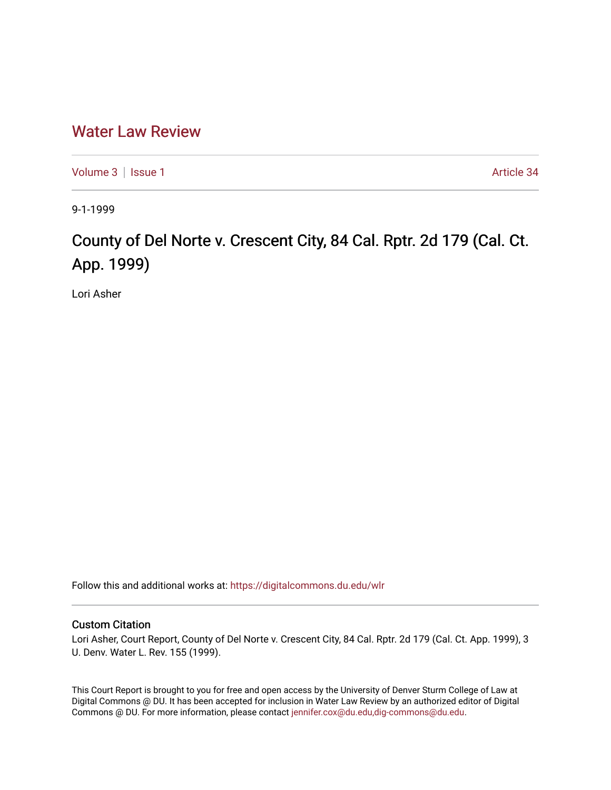## [Water Law Review](https://digitalcommons.du.edu/wlr)

[Volume 3](https://digitalcommons.du.edu/wlr/vol3) | [Issue 1](https://digitalcommons.du.edu/wlr/vol3/iss1) Article 34

9-1-1999

## County of Del Norte v. Crescent City, 84 Cal. Rptr. 2d 179 (Cal. Ct. App. 1999)

Lori Asher

Follow this and additional works at: [https://digitalcommons.du.edu/wlr](https://digitalcommons.du.edu/wlr?utm_source=digitalcommons.du.edu%2Fwlr%2Fvol3%2Fiss1%2F34&utm_medium=PDF&utm_campaign=PDFCoverPages) 

## Custom Citation

Lori Asher, Court Report, County of Del Norte v. Crescent City, 84 Cal. Rptr. 2d 179 (Cal. Ct. App. 1999), 3 U. Denv. Water L. Rev. 155 (1999).

This Court Report is brought to you for free and open access by the University of Denver Sturm College of Law at Digital Commons @ DU. It has been accepted for inclusion in Water Law Review by an authorized editor of Digital Commons @ DU. For more information, please contact [jennifer.cox@du.edu,dig-commons@du.edu.](mailto:jennifer.cox@du.edu,dig-commons@du.edu)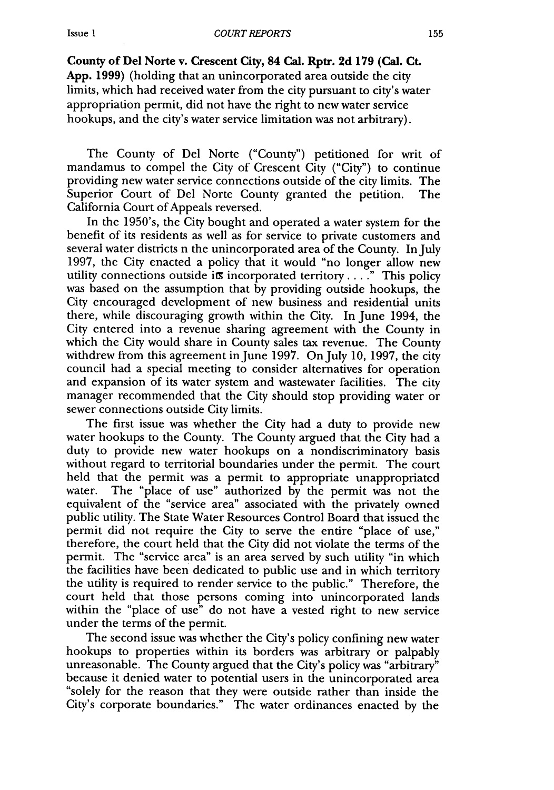## Issue **I**

*COURT REPORTS*

**County of Del Norte v. Crescent City, 84 Cal. Rptr. 2d 179 (Cal. Ct. App. 1999)** (holding that an unincorporated area outside the city limits, which had received water from the city pursuant to city's water appropriation permit, did not have the right to new water service hookups, and the city's water service limitation was not arbitrary).

The County of Del Norte ("County") petitioned for writ of mandamus to compel the City of Crescent City ("City") to continue providing new water service connections outside of the city limits. The Superior Court of Del Norte County granted the petition. The California Court of Appeals reversed.

In the 1950's, the City bought and operated a water system for the benefit of its residents as well as for service to private customers and several water districts n the unincorporated area of the County. In July 1997, the City enacted a policy that it would "no longer allow new utility connections outside its incorporated territory....<sup>"</sup> This policy was based on the assumption that by providing outside hookups, the City encouraged development of new business and residential units there, while discouraging growth within the City. In June 1994, the City entered into a revenue sharing agreement with the County in which the City would share in County sales tax revenue. The County withdrew from this agreement in June 1997. On July 10, 1997, the city council had a special meeting to consider alternatives for operation and expansion of its water system and wastewater facilities. The city manager recommended that the City should stop providing water or sewer connections outside City limits.

The first issue was whether the City had a duty to provide new water hookups to the County. The County argued that the City had a duty to provide new water hookups on a nondiscriminatory basis without regard to territorial boundaries under the permit. The court held that the permit was a permit to appropriate unappropriated water. The "place of use" authorized by the permit was not the equivalent of the "service area" associated with the privately owned public utility. The State Water Resources Control Board that issued the permit did not require the City to serve the entire "place of use," therefore, the court held that the City did not violate the terms of the permit. The "service area" is an area served by such utility "in which the facilities have been dedicated to public use and in which territory the utility is required to render service to the public." Therefore, the court held that those persons coming into unincorporated lands within the "place of use" do not have a vested right to new service under the terms of the permit.

The second issue was whether the City's policy confining new water hookups to properties within its borders was arbitrary or palpably unreasonable. The County argued that the City's policy was "arbitrary" because it denied water to potential users in the unincorporated area "solely for the reason that they were outside rather than inside the City's corporate boundaries." The water ordinances enacted by the